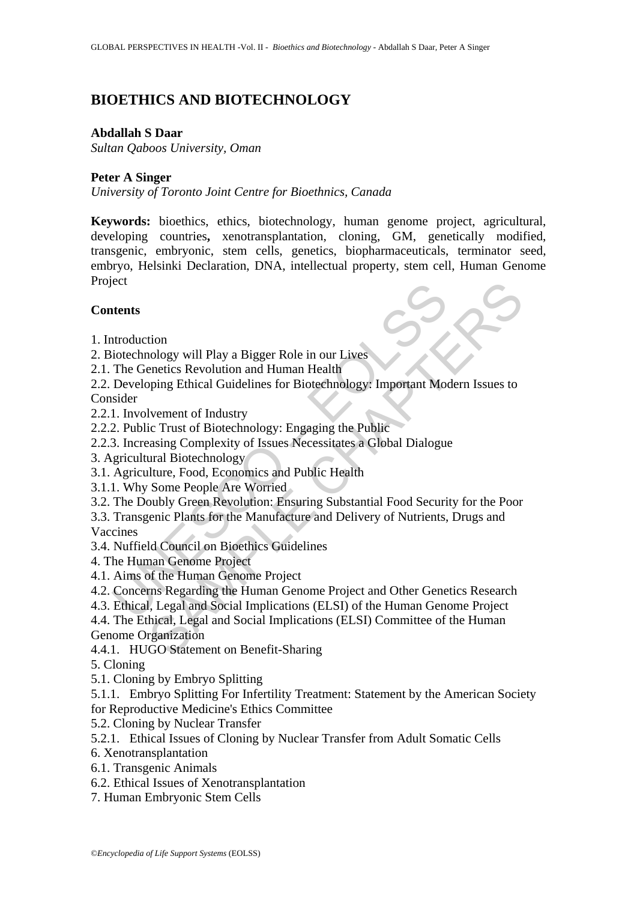# **BIOETHICS AND BIOTECHNOLOGY**

#### **Abdallah S Daar**

*Sultan Qaboos University, Oman*

### **Peter A Singer**

*University of Toronto Joint Centre for Bioethnics, Canada* 

**Keywords:** bioethics, ethics, biotechnology, human genome project, agricultural, developing countries**,** xenotransplantation, cloning, GM, genetically modified, transgenic, embryonic, stem cells, genetics, biopharmaceuticals, terminator seed, embryo, Helsinki Declaration, DNA, intellectual property, stem cell, Human Genome Project

### **Contents**

- 1. Introduction
- 2. Biotechnology will Play a Bigger Role in our Lives
- 2.1. The Genetics Revolution and Human Health

Example 1<br>
Introduction<br>
interduction<br>
interduction<br>
The Genetics Revolution and Human Health<br>
Developing Ethical Guidelines for Biotechnology: Important Mod<br>
Developing Ethical Guidelines for Biotechnology: Important Mod<br> tion<br>
ion<br>
nology will Play a Bigger Role in our Lives<br>
enetics Revolution and Human Health<br>
pping Ethical Guidelines for Biotechnology: Important Modern Issues to<br>
Ivement of Industry<br>
ic Trust of Biotechnology: Engaging 2.2. Developing Ethical Guidelines for Biotechnology: Important Modern Issues to Consider

- 2.2.1. Involvement of Industry
- 2.2.2. Public Trust of Biotechnology: Engaging the Public
- 2.2.3. Increasing Complexity of Issues Necessitates a Global Dialogue
- 3. Agricultural Biotechnology
- 3.1. Agriculture, Food, Economics and Public Health
- 3.1.1. Why Some People Are Worried
- 3.2. The Doubly Green Revolution: Ensuring Substantial Food Security for the Poor

3.3. Transgenic Plants for the Manufacture and Delivery of Nutrients, Drugs and Vaccines

3.4. Nuffield Council on Bioethics Guidelines

- 4. The Human Genome Project
- 4.1. Aims of the Human Genome Project
- 4.2. Concerns Regarding the Human Genome Project and Other Genetics Research
- 4.3. Ethical, Legal and Social Implications (ELSI) of the Human Genome Project

4.4. The Ethical, Legal and Social Implications (ELSI) Committee of the Human Genome Organization

4.4.1. HUGO Statement on Benefit-Sharing

- 5. Cloning
- 5.1. Cloning by Embryo Splitting

5.1.1. Embryo Splitting For Infertility Treatment: Statement by the American Society for Reproductive Medicine's Ethics Committee

5.2. Cloning by Nuclear Transfer

5.2.1. Ethical Issues of Cloning by Nuclear Transfer from Adult Somatic Cells

- 6. Xenotransplantation
- 6.1. Transgenic Animals
- 6.2. Ethical Issues of Xenotransplantation
- 7. Human Embryonic Stem Cells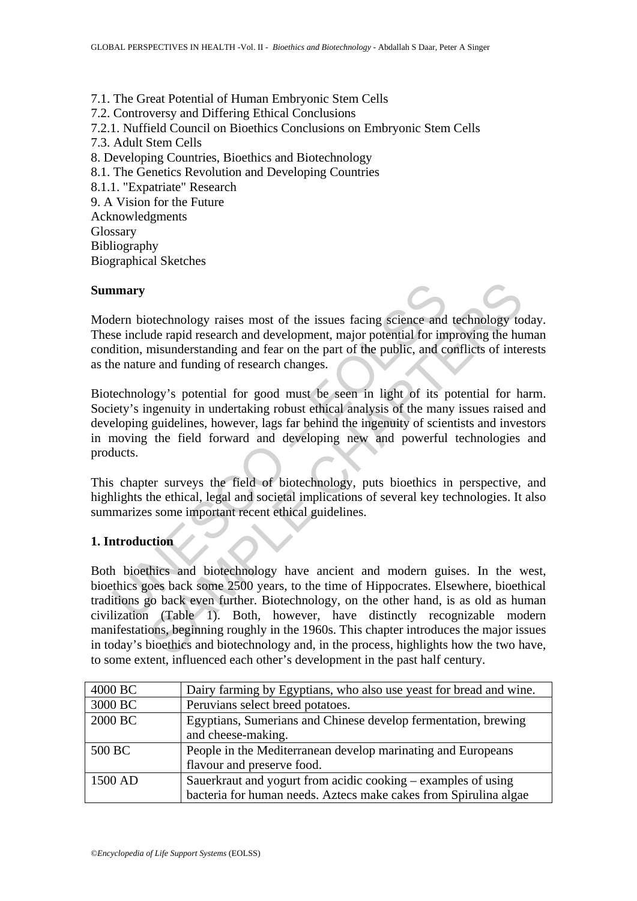7.1. The Great Potential of Human Embryonic Stem Cells 7.2. Controversy and Differing Ethical Conclusions 7.2.1. Nuffield Council on Bioethics Conclusions on Embryonic Stem Cells 7.3. Adult Stem Cells 8. Developing Countries, Bioethics and Biotechnology 8.1. The Genetics Revolution and Developing Countries 8.1.1. "Expatriate" Research 9. A Vision for the Future Acknowledgments Glossary Bibliography Biographical Sketches

#### **Summary**

Modern biotechnology raises most of the issues facing science and technology today. These include rapid research and development, major potential for improving the human condition, misunderstanding and fear on the part of the public, and conflicts of interests as the nature and funding of research changes.

**EXECUTE:**<br>
Internal internal development, major potential for im<br>
see include rapid research and development, major potential for im<br>
dition, misunderstanding and fear on the part of the public, and cor<br>
internal internal Biotechnology's potential for good must be seen in light of its potential for harm. Society's ingenuity in undertaking robust ethical analysis of the many issues raised and developing guidelines, however, lags far behind the ingenuity of scientists and investors in moving the field forward and developing new and powerful technologies and products.

This chapter surveys the field of biotechnology, puts bioethics in perspective, and highlights the ethical, legal and societal implications of several key technologies. It also summarizes some important recent ethical guidelines.

#### **1. Introduction**

otechnology raises most of the issues facing science and technology to<br>de rapid research and development, major potential for improving the hu<br>misunderstanding and fear on the part of the public, and conflicts of inter<br>e a Both bioethics and biotechnology have ancient and modern guises. In the west, bioethics goes back some 2500 years, to the time of Hippocrates. Elsewhere, bioethical traditions go back even further. Biotechnology, on the other hand, is as old as human civilization (Table 1). Both, however, have distinctly recognizable modern manifestations, beginning roughly in the 1960s. This chapter introduces the major issues in today's bioethics and biotechnology and, in the process, highlights how the two have, to some extent, influenced each other's development in the past half century.

| 4000 BC | Dairy farming by Egyptians, who also use yeast for bread and wine. |
|---------|--------------------------------------------------------------------|
| 3000 BC | Peruvians select breed potatoes.                                   |
| 2000 BC | Egyptians, Sumerians and Chinese develop fermentation, brewing     |
|         | and cheese-making.                                                 |
| 500 BC  | People in the Mediterranean develop marinating and Europeans       |
|         | flavour and preserve food.                                         |
| 1500 AD | Sauerkraut and yogurt from acidic cooking – examples of using      |
|         | bacteria for human needs. Aztecs make cakes from Spirulina algae   |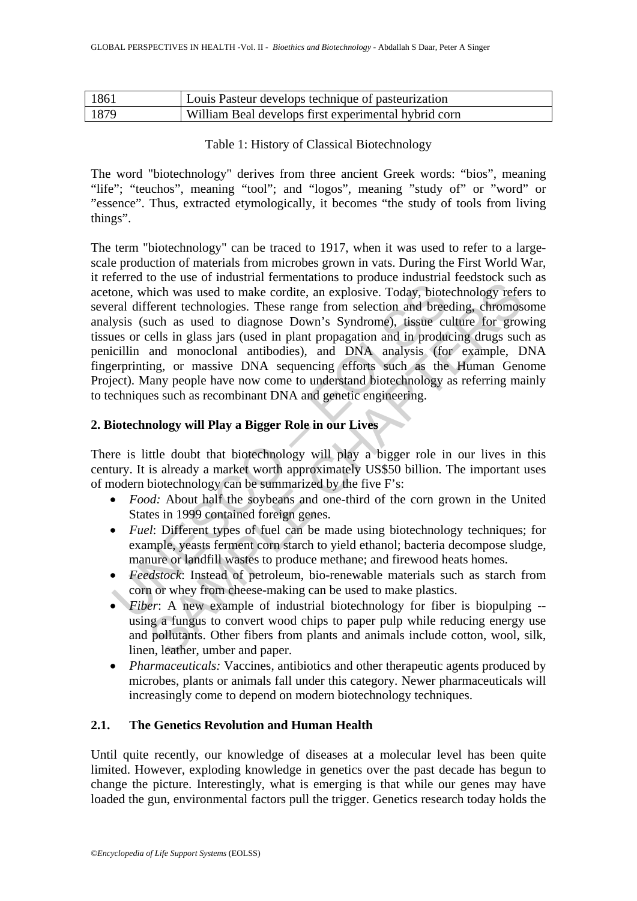| -1861 | Louis Pasteur develops technique of pasteurization   |
|-------|------------------------------------------------------|
| 1879  | William Beal develops first experimental hybrid corn |

Table 1: History of Classical Biotechnology

The word "biotechnology" derives from three ancient Greek words: "bios", meaning "life"; "teuchos", meaning "tool"; and "logos", meaning "study of" or "word" or "essence". Thus, extracted etymologically, it becomes "the study of tools from living things".

From the same and the same and the same of the same one, which was used to make cordite, an explosive. Today, bioteral different technologies. These range from selection and bree ysis (such as used to diagnose Down's Syndr or an exo-or manastration remembandos or plotace mativaritic technology referent technologies. These range from selection and breeding, chromos as used to diagnose Down's Syndrome), tissue cultime for growind and streagati The term "biotechnology" can be traced to 1917, when it was used to refer to a largescale production of materials from microbes grown in vats. During the First World War, it referred to the use of industrial fermentations to produce industrial feedstock such as acetone, which was used to make cordite, an explosive. Today, biotechnology refers to several different technologies. These range from selection and breeding, chromosome analysis (such as used to diagnose Down's Syndrome), tissue culture for growing tissues or cells in glass jars (used in plant propagation and in producing drugs such as penicillin and monoclonal antibodies), and DNA analysis (for example, DNA fingerprinting, or massive DNA sequencing efforts such as the Human Genome Project). Many people have now come to understand biotechnology as referring mainly to techniques such as recombinant DNA and genetic engineering.

## **2. Biotechnology will Play a Bigger Role in our Lives**

There is little doubt that biotechnology will play a bigger role in our lives in this century. It is already a market worth approximately US\$50 billion. The important uses of modern biotechnology can be summarized by the five F's:

- *Food:* About half the soybeans and one-third of the corn grown in the United States in 1999 contained foreign genes.
- *Fuel*: Different types of fuel can be made using biotechnology techniques; for example, yeasts ferment corn starch to yield ethanol; bacteria decompose sludge, manure or landfill wastes to produce methane; and firewood heats homes.
- *Feedstock*: Instead of petroleum, bio-renewable materials such as starch from corn or whey from cheese-making can be used to make plastics.
- *Fiber*: A new example of industrial biotechnology for fiber is biopulping -using a fungus to convert wood chips to paper pulp while reducing energy use and pollutants. Other fibers from plants and animals include cotton, wool, silk, linen, leather, umber and paper.
- *Pharmaceuticals:* Vaccines, antibiotics and other therapeutic agents produced by microbes, plants or animals fall under this category. Newer pharmaceuticals will increasingly come to depend on modern biotechnology techniques.

## **2.1. The Genetics Revolution and Human Health**

Until quite recently, our knowledge of diseases at a molecular level has been quite limited. However, exploding knowledge in genetics over the past decade has begun to change the picture. Interestingly, what is emerging is that while our genes may have loaded the gun, environmental factors pull the trigger. Genetics research today holds the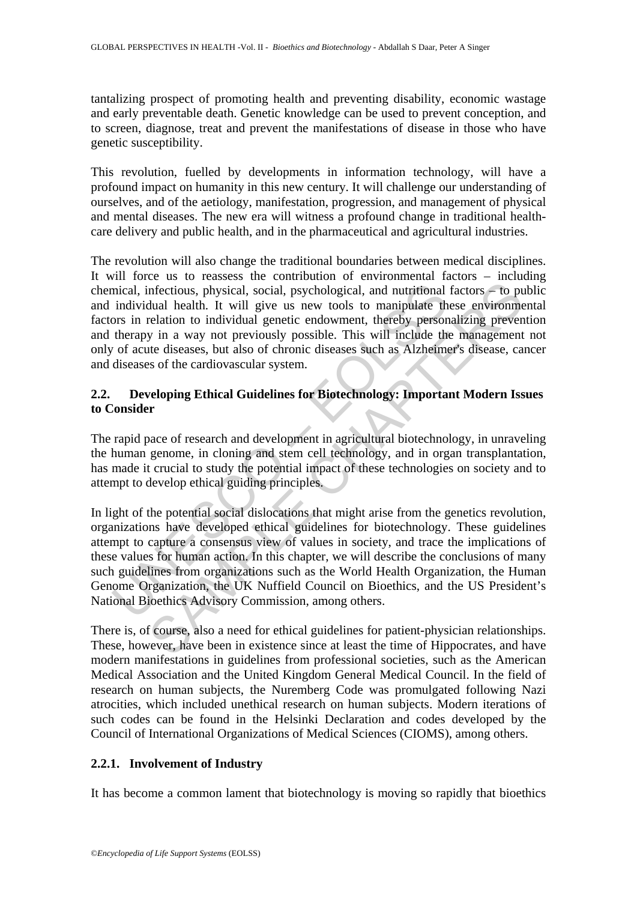tantalizing prospect of promoting health and preventing disability, economic wastage and early preventable death. Genetic knowledge can be used to prevent conception, and to screen, diagnose, treat and prevent the manifestations of disease in those who have genetic susceptibility.

This revolution, fuelled by developments in information technology, will have a profound impact on humanity in this new century. It will challenge our understanding of ourselves, and of the aetiology, manifestation, progression, and management of physical and mental diseases. The new era will witness a profound change in traditional healthcare delivery and public health, and in the pharmaceutical and agricultural industries.

The revolution will also change the traditional boundaries between medical disciplines. It will force us to reassess the contribution of environmental factors – including chemical, infectious, physical, social, psychological, and nutritional factors – to public and individual health. It will give us new tools to manipulate these environmental factors in relation to individual genetic endowment, thereby personalizing prevention and therapy in a way not previously possible. This will include the management not only of acute diseases, but also of chronic diseases such as Alzheimer's disease, cancer and diseases of the cardiovascular system.

## **2.2. Developing Ethical Guidelines for Biotechnology: Important Modern Issues to Consider**

The rapid pace of research and development in agricultural biotechnology, in unraveling the human genome, in cloning and stem cell technology, and in organ transplantation, has made it crucial to study the potential impact of these technologies on society and to attempt to develop ethical guiding principles.

mical, infectious, physical, social, psychological, and nutritional<br>individual health. It will give us new tools to manipulate th<br>ors in relation to individual genetic endowment, thereby person<br>therapy in a way not previou infectious, physical, social, psychological, and nutritional factors – to pubal health. It will give us new tools to manipulate these environmentation to individual gencie endowment, thereby personalizing preventity in a w In light of the potential social dislocations that might arise from the genetics revolution, organizations have developed ethical guidelines for biotechnology. These guidelines attempt to capture a consensus view of values in society, and trace the implications of these values for human action. In this chapter, we will describe the conclusions of many such guidelines from organizations such as the World Health Organization, the Human Genome Organization, the UK Nuffield Council on Bioethics, and the US President's National Bioethics Advisory Commission, among others.

There is, of course, also a need for ethical guidelines for patient-physician relationships. These, however, have been in existence since at least the time of Hippocrates, and have modern manifestations in guidelines from professional societies, such as the American Medical Association and the United Kingdom General Medical Council. In the field of research on human subjects, the Nuremberg Code was promulgated following Nazi atrocities, which included unethical research on human subjects. Modern iterations of such codes can be found in the Helsinki Declaration and codes developed by the Council of International Organizations of Medical Sciences (CIOMS), among others.

## **2.2.1. Involvement of Industry**

It has become a common lament that biotechnology is moving so rapidly that bioethics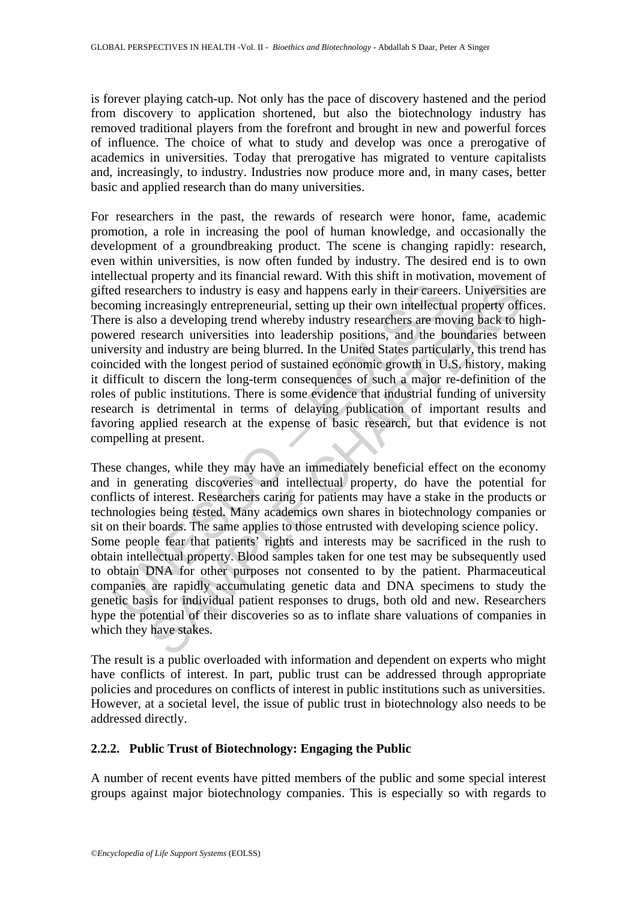is forever playing catch-up. Not only has the pace of discovery hastened and the period from discovery to application shortened, but also the biotechnology industry has removed traditional players from the forefront and brought in new and powerful forces of influence. The choice of what to study and develop was once a prerogative of academics in universities. Today that prerogative has migrated to venture capitalists and, increasingly, to industry. Industries now produce more and, in many cases, better basic and applied research than do many universities.

ed researchers to industry is easy and happens early in their caree<br>oming increasingly entrepreneurial, setting up their own intellecture<br>re is also a developing trend whereby industry researchers are mo<br>recent research un For researchers in the past, the rewards of research were honor, fame, academic promotion, a role in increasing the pool of human knowledge, and occasionally the development of a groundbreaking product. The scene is changing rapidly: research, even within universities, is now often funded by industry. The desired end is to own intellectual property and its financial reward. With this shift in motivation, movement of gifted researchers to industry is easy and happens early in their careers. Universities are becoming increasingly entrepreneurial, setting up their own intellectual property offices. There is also a developing trend whereby industry researchers are moving back to highpowered research universities into leadership positions, and the boundaries between university and industry are being blurred. In the United States particularly, this trend has coincided with the longest period of sustained economic growth in U.S. history, making it difficult to discern the long-term consequences of such a major re-definition of the roles of public institutions. There is some evidence that industrial funding of university research is detrimental in terms of delaying publication of important results and favoring applied research at the expense of basic research, but that evidence is not compelling at present.

reference to industry is easy and happens early in their careers. Universities<br>archers to industry is easy and happens early in their careers. Universities<br>archers to industry is easy and happens early in their careers. Un These changes, while they may have an immediately beneficial effect on the economy and in generating discoveries and intellectual property, do have the potential for conflicts of interest. Researchers caring for patients may have a stake in the products or technologies being tested. Many academics own shares in biotechnology companies or sit on their boards. The same applies to those entrusted with developing science policy. Some people fear that patients' rights and interests may be sacrificed in the rush to obtain intellectual property. Blood samples taken for one test may be subsequently used to obtain DNA for other purposes not consented to by the patient. Pharmaceutical companies are rapidly accumulating genetic data and DNA specimens to study the genetic basis for individual patient responses to drugs, both old and new. Researchers hype the potential of their discoveries so as to inflate share valuations of companies in which they have stakes.

The result is a public overloaded with information and dependent on experts who might have conflicts of interest. In part, public trust can be addressed through appropriate policies and procedures on conflicts of interest in public institutions such as universities. However, at a societal level, the issue of public trust in biotechnology also needs to be addressed directly.

### **2.2.2. Public Trust of Biotechnology: Engaging the Public**

A number of recent events have pitted members of the public and some special interest groups against major biotechnology companies. This is especially so with regards to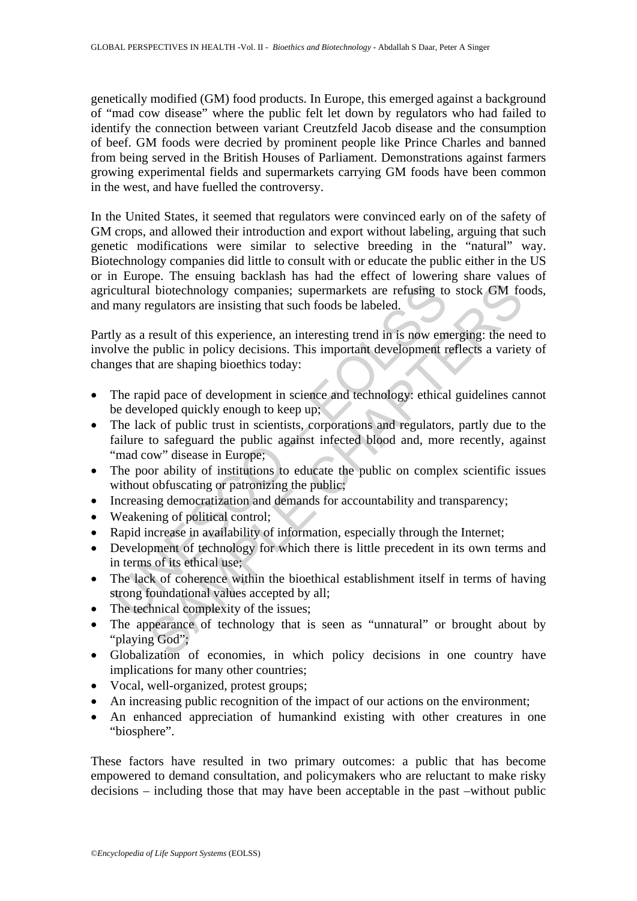genetically modified (GM) food products. In Europe, this emerged against a background of "mad cow disease" where the public felt let down by regulators who had failed to identify the connection between variant Creutzfeld Jacob disease and the consumption of beef. GM foods were decried by prominent people like Prince Charles and banned from being served in the British Houses of Parliament. Demonstrations against farmers growing experimental fields and supermarkets carrying GM foods have been common in the west, and have fuelled the controversy.

In the United States, it seemed that regulators were convinced early on of the safety of GM crops, and allowed their introduction and export without labeling, arguing that such genetic modifications were similar to selective breeding in the "natural" way. Biotechnology companies did little to consult with or educate the public either in the US or in Europe. The ensuing backlash has had the effect of lowering share values of agricultural biotechnology companies; supermarkets are refusing to stock GM foods, and many regulators are insisting that such foods be labeled.

Partly as a result of this experience, an interesting trend in is now emerging: the need to involve the public in policy decisions. This important development reflects a variety of changes that are shaping bioethics today:

- The rapid pace of development in science and technology: ethical guidelines cannot be developed quickly enough to keep up;
- cultural biotechnology companies; supermarkets are refusing to many regulators are insisting that such foods be labeled.<br>
ly as a result of this experience, an interesting trend in is now em<br>
blve the public in policy deci International sympatrics, supermarkets are refusing to stock GM for<br>all biotechnology companies; supermarkets are refusing to stock GM for<br>egulators are insisting that such foods be labeled.<br>
result of this experience, an • The lack of public trust in scientists, corporations and regulators, partly due to the failure to safeguard the public against infected blood and, more recently, against "mad cow" disease in Europe;
- The poor ability of institutions to educate the public on complex scientific issues without obfuscating or patronizing the public;
- Increasing democratization and demands for accountability and transparency;
- Weakening of political control;
- Rapid increase in availability of information, especially through the Internet;
- Development of technology for which there is little precedent in its own terms and in terms of its ethical use;
- The lack of coherence within the bioethical establishment itself in terms of having strong foundational values accepted by all;
- The technical complexity of the issues;
- The appearance of technology that is seen as "unnatural" or brought about by "playing God";
- Globalization of economies, in which policy decisions in one country have implications for many other countries;
- Vocal, well-organized, protest groups;
- An increasing public recognition of the impact of our actions on the environment;
- An enhanced appreciation of humankind existing with other creatures in one "biosphere".

These factors have resulted in two primary outcomes: a public that has become empowered to demand consultation, and policymakers who are reluctant to make risky decisions – including those that may have been acceptable in the past –without public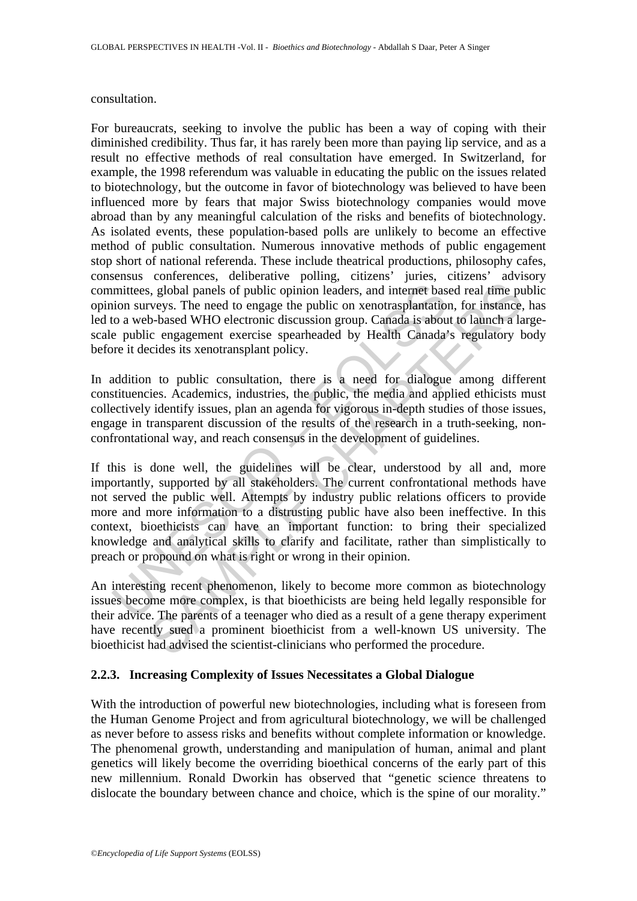#### consultation.

For bureaucrats, seeking to involve the public has been a way of coping with their diminished credibility. Thus far, it has rarely been more than paying lip service, and as a result no effective methods of real consultation have emerged. In Switzerland, for example, the 1998 referendum was valuable in educating the public on the issues related to biotechnology, but the outcome in favor of biotechnology was believed to have been influenced more by fears that major Swiss biotechnology companies would move abroad than by any meaningful calculation of the risks and benefits of biotechnology. As isolated events, these population-based polls are unlikely to become an effective method of public consultation. Numerous innovative methods of public engagement stop short of national referenda. These include theatrical productions, philosophy cafes, consensus conferences, deliberative polling, citizens' juries, citizens' advisory committees, global panels of public opinion leaders, and internet based real time public opinion surveys. The need to engage the public on xenotrasplantation, for instance, has led to a web-based WHO electronic discussion group. Canada is about to launch a largescale public engagement exercise spearheaded by Health Canada's regulatory body before it decides its xenotransplant policy.

In addition to public consultation, there is a need for dialogue among different constituencies. Academics, industries, the public, the media and applied ethicists must collectively identify issues, plan an agenda for vigorous in-depth studies of those issues, engage in transparent discussion of the results of the research in a truth-seeking, nonconfrontational way, and reach consensus in the development of guidelines.

mittees, global panels of public opinion leaders, and internet basion surveys. The need to engage the public on xenotrasplantation of a web-based WHO electronic discussion group. Canada is about e public engagement exercis s, global panels of public opinion leaders, and internet based real time puveys. The need to engage the public on xenotrasplantation, for instance, based WHO electronic discussion group. Canada is about to launch a lab-bas If this is done well, the guidelines will be clear, understood by all and, more importantly, supported by all stakeholders. The current confrontational methods have not served the public well. Attempts by industry public relations officers to provide more and more information to a distrusting public have also been ineffective. In this context, bioethicists can have an important function: to bring their specialized knowledge and analytical skills to clarify and facilitate, rather than simplistically to preach or propound on what is right or wrong in their opinion.

An interesting recent phenomenon, likely to become more common as biotechnology issues become more complex, is that bioethicists are being held legally responsible for their advice. The parents of a teenager who died as a result of a gene therapy experiment have recently sued a prominent bioethicist from a well-known US university. The bioethicist had advised the scientist-clinicians who performed the procedure.

## **2.2.3. Increasing Complexity of Issues Necessitates a Global Dialogue**

With the introduction of powerful new biotechnologies, including what is foreseen from the Human Genome Project and from agricultural biotechnology, we will be challenged as never before to assess risks and benefits without complete information or knowledge. The phenomenal growth, understanding and manipulation of human, animal and plant genetics will likely become the overriding bioethical concerns of the early part of this new millennium. Ronald Dworkin has observed that "genetic science threatens to dislocate the boundary between chance and choice, which is the spine of our morality."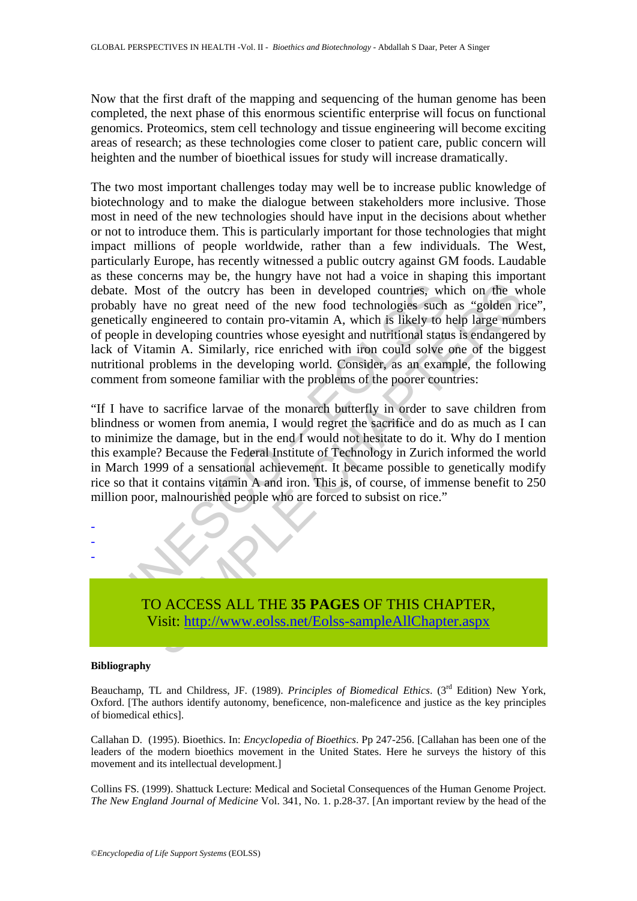Now that the first draft of the mapping and sequencing of the human genome has been completed, the next phase of this enormous scientific enterprise will focus on functional genomics. Proteomics, stem cell technology and tissue engineering will become exciting areas of research; as these technologies come closer to patient care, public concern will heighten and the number of bioethical issues for study will increase dramatically.

ate. Most of the outcry has been in developed countries, whighly have no great need of the new food technologies such tically engineered to contain pro-vitamin A, which is likely to heople in developing countries whose eye not of the outry has been in developed countries, which on the wave no great need of the new food technologies such as "golden righteered to contain pro-vitamin A, which is likely to help large numerated to contain of whic The two most important challenges today may well be to increase public knowledge of biotechnology and to make the dialogue between stakeholders more inclusive. Those most in need of the new technologies should have input in the decisions about whether or not to introduce them. This is particularly important for those technologies that might impact millions of people worldwide, rather than a few individuals. The West, particularly Europe, has recently witnessed a public outcry against GM foods. Laudable as these concerns may be, the hungry have not had a voice in shaping this important debate. Most of the outcry has been in developed countries, which on the whole probably have no great need of the new food technologies such as "golden rice", genetically engineered to contain pro-vitamin A, which is likely to help large numbers of people in developing countries whose eyesight and nutritional status is endangered by lack of Vitamin A. Similarly, rice enriched with iron could solve one of the biggest nutritional problems in the developing world. Consider, as an example, the following comment from someone familiar with the problems of the poorer countries:

"If I have to sacrifice larvae of the monarch butterfly in order to save children from blindness or women from anemia, I would regret the sacrifice and do as much as I can to minimize the damage, but in the end I would not hesitate to do it. Why do I mention this example? Because the Federal Institute of Technology in Zurich informed the world in March 1999 of a sensational achievement. It became possible to genetically modify rice so that it contains vitamin A and iron. This is, of course, of immense benefit to 250 million poor, malnourished people who are forced to subsist on rice."

> TO ACCESS ALL THE **35 PAGES** OF THIS CHAPTER, Visit: http://www.eolss.net/Eolss-sampleAllChapter.aspx

#### **Bibliography**

- - -

Beauchamp, TL and Childress, JF. (1989). *Principles of Biomedical Ethics*. (3<sup>rd</sup> Edition) New York, Oxford. [The authors identify autonomy, beneficence, non-maleficence and justice as the key principles of biomedical ethics].

Callahan D. (1995). Bioethics. In: *Encyclopedia of Bioethics*. Pp 247-256. [Callahan has been one of the leaders of the modern bioethics movement in the United States. Here he surveys the history of this movement and its intellectual development.]

Collins FS. (1999). Shattuck Lecture: Medical and Societal Consequences of the Human Genome Project. *The New England Journal of Medicine* Vol. 341, No. 1. p.28-37. [An important review by the head of the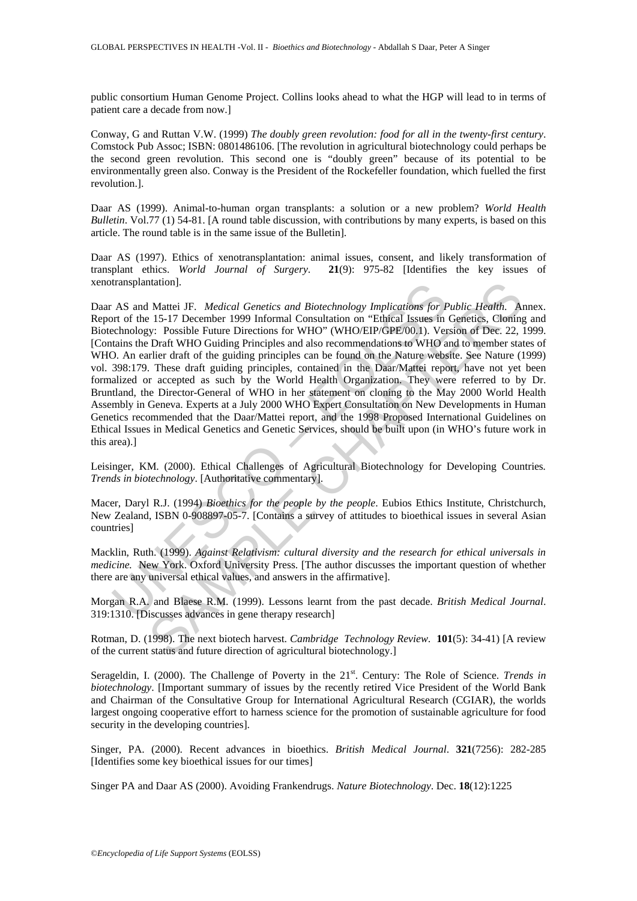public consortium Human Genome Project. Collins looks ahead to what the HGP will lead to in terms of patient care a decade from now.]

Conway, G and Ruttan V.W. (1999) *The doubly green revolution: food for all in the twenty-first century*. Comstock Pub Assoc; ISBN: 0801486106. [The revolution in agricultural biotechnology could perhaps be the second green revolution. This second one is "doubly green" because of its potential to be environmentally green also. Conway is the President of the Rockefeller foundation, which fuelled the first revolution.].

Daar AS (1999). Animal-to-human organ transplants: a solution or a new problem? *World Health Bulletin*. Vol.77 (1) 54-81. [A round table discussion, with contributions by many experts, is based on this article. The round table is in the same issue of the Bulletin].

Daar AS (1997). Ethics of xenotransplantation: animal issues, consent, and likely transformation of transplant ethics. *World Journal of Surgery*. **21**(9): 975-82 [Identifies the key issues of xenotransplantation].

transplantation].<br>
AS and Mattei JF. *Medical Genetics and Biotechnology Implications for* For of the 15-17 December 1999 Informal Consultation on "Ethical Issues in<br>
echnology: Possible Future Directions for WHO" (WHO/EIP mation].<br>
Matter JF. *Medical Genetics and Biotechnology Implications for Public Health.* A<br>
15.1-7 December 1999 Informal Consultation on "Ethical Issues in Genetics, Cloning<br>
15.1-7 December 1999 Informal Consultation on Daar AS and Mattei JF. *Medical Genetics and Biotechnology Implications for Public Health*. Annex. Report of the 15-17 December 1999 Informal Consultation on "Ethical Issues in Genetics, Cloning and Biotechnology: Possible Future Directions for WHO" (WHO/EIP/GPE/00.1). Version of Dec. 22, 1999. [Contains the Draft WHO Guiding Principles and also recommendations to WHO and to member states of WHO. An earlier draft of the guiding principles can be found on the Nature website. See Nature (1999) vol. 398:179. These draft guiding principles, contained in the Daar/Mattei report, have not yet been formalized or accepted as such by the World Health Organization. They were referred to by Dr. Bruntland, the Director-General of WHO in her statement on cloning to the May 2000 World Health Assembly in Geneva. Experts at a July 2000 WHO Expert Consultation on New Developments in Human Genetics recommended that the Daar/Mattei report, and the 1998 Proposed International Guidelines on Ethical Issues in Medical Genetics and Genetic Services, should be built upon (in WHO's future work in this area).]

Leisinger, KM. (2000). Ethical Challenges of Agricultural Biotechnology for Developing Countries*. Trends in biotechnology*. [Authoritative commentary].

Macer, Daryl R.J. (1994) *Bioethics for the people by the people*. Eubios Ethics Institute, Christchurch, New Zealand, ISBN 0-908897-05-7. [Contains a survey of attitudes to bioethical issues in several Asian countries]

Macklin, Ruth. (1999). *Against Relativism: cultural diversity and the research for ethical universals in medicine.* New York. Oxford University Press. [The author discusses the important question of whether there are any universal ethical values, and answers in the affirmative].

Morgan R.A. and Blaese R.M. (1999). Lessons learnt from the past decade. *British Medical Journal*. 319:1310. [Discusses advances in gene therapy research]

Rotman, D. (1998). The next biotech harvest. *Cambridge Technology Review*. **101**(5): 34-41) [A review of the current status and future direction of agricultural biotechnology.]

Serageldin, I. (2000). The Challenge of Poverty in the 21<sup>st</sup>. Century: The Role of Science. *Trends in biotechnology*. [Important summary of issues by the recently retired Vice President of the World Bank and Chairman of the Consultative Group for International Agricultural Research (CGIAR), the worlds largest ongoing cooperative effort to harness science for the promotion of sustainable agriculture for food security in the developing countries].

Singer, PA. (2000). Recent advances in bioethics. *British Medical Journal*. **321**(7256): 282-285 [Identifies some key bioethical issues for our times]

Singer PA and Daar AS (2000). Avoiding Frankendrugs. *Nature Biotechnology*. Dec. **18**(12):1225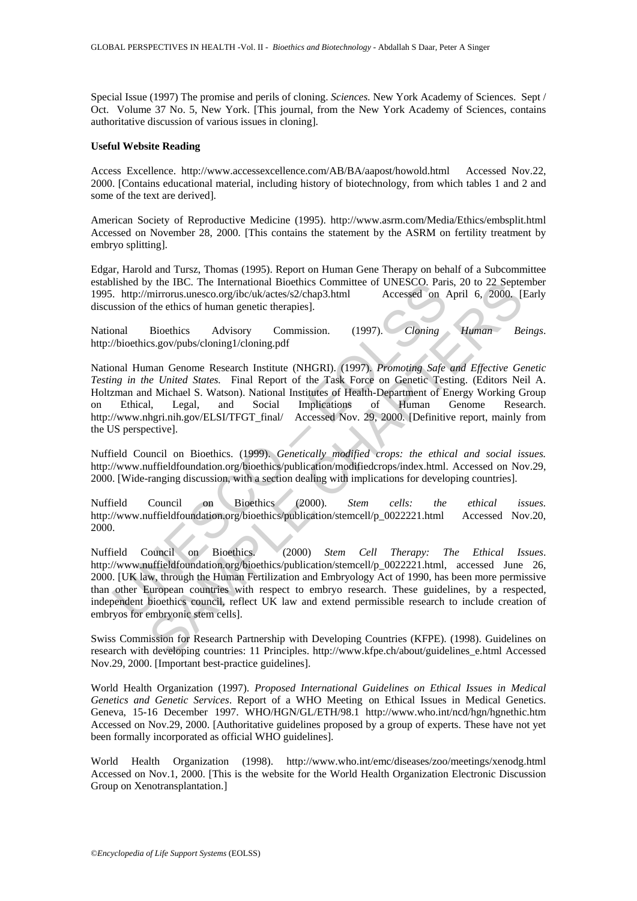Special Issue (1997) The promise and perils of cloning. *Sciences.* New York Academy of Sciences. Sept / Oct. Volume 37 No. 5, New York. [This journal, from the New York Academy of Sciences, contains authoritative discussion of various issues in cloning].

#### **Useful Website Reading**

Access Excellence. http://www.accessexcellence.com/AB/BA/aapost/howold.html Accessed Nov.22, 2000. [Contains educational material, including history of biotechnology, from which tables 1 and 2 and some of the text are derived].

American Society of Reproductive Medicine (1995). http://www.asrm.com/Media/Ethics/embsplit.html Accessed on November 28, 2000. [This contains the statement by the ASRM on fertility treatment by embryo splitting].

Edgar, Harold and Tursz, Thomas (1995). Report on Human Gene Therapy on behalf of a Subcommittee established by the IBC. The International Bioethics Committee of UNESCO. Paris, 20 to 22 September 1995. http://mirrorus.unesco.org/ibc/uk/actes/s2/chap3.html Accessed on April 6, 2000. [Early discussion of the ethics of human genetic therapies].

National Bioethics Advisory Commission. (1997). *Cloning Human Beings*. http://bioethics.gov/pubs/cloning1/cloning.pdf

ISING or He IBC. I ne International Bioethics<br>
A. http://mirrorus.unesco.org/ibc/uk/actes/s2/chap3.html Accessed on Accessed on Antipality and Bioethics Advisory Commission. (1997). *Cloning* Assission of the ethics of hu The IBC. The International Bioethics Committee of UNESCO. Paris, 20 to 22 Septem<br>mirrorus.unesco.org/ibc/uk/actes/s2/chap3.html Accessed on April 6, 2000. [1]<br>the ethics of human genetic therapies].<br>Bioethics Advisory Com National Human Genome Research Institute (NHGRI). (1997). *Promoting Safe and Effective Genetic Testing in the United States.* Final Report of the Task Force on Genetic Testing. (Editors Neil A. Holtzman and Michael S. Watson). National Institutes of Health-Department of Energy Working Group on Ethical, Legal, and Social Implications of Human Genome Research. http://www.nhgri.nih.gov/ELSI/TFGT\_final/ Accessed Nov. 29, 2000. [Definitive report, mainly from the US perspective].

Nuffield Council on Bioethics. (1999). *Genetically modified crops: the ethical and social issues.* http://www.nuffieldfoundation.org/bioethics/publication/modifiedcrops/index.html. Accessed on Nov.29, 2000. [Wide-ranging discussion, with a section dealing with implications for developing countries].

Nuffield Council on Bioethics (2000). *Stem cells: the ethical issues.* http://www.nuffieldfoundation.org/bioethics/publication/stemcell/p\_0022221.html Accessed Nov.20, 2000.

Nuffield Council on Bioethics. (2000) *Stem Cell Therapy: The Ethical Issues*. http://www.nuffieldfoundation.org/bioethics/publication/stemcell/p\_0022221.html, accessed June 26, 2000. [UK law, through the Human Fertilization and Embryology Act of 1990, has been more permissive than other European countries with respect to embryo research. These guidelines, by a respected, independent bioethics council, reflect UK law and extend permissible research to include creation of embryos for embryonic stem cells].

Swiss Commission for Research Partnership with Developing Countries (KFPE). (1998). Guidelines on research with developing countries: 11 Principles. http://www.kfpe.ch/about/guidelines\_e.html Accessed Nov.29, 2000. [Important best-practice guidelines].

World Health Organization (1997). *Proposed International Guidelines on Ethical Issues in Medical Genetics and Genetic Services*. Report of a WHO Meeting on Ethical Issues in Medical Genetics. Geneva, 15-16 December 1997. WHO/HGN/GL/ETH/98.1 http://www.who.int/ncd/hgn/hgnethic.htm Accessed on Nov.29, 2000. [Authoritative guidelines proposed by a group of experts. These have not yet been formally incorporated as official WHO guidelines].

World Health Organization (1998). http://www.who.int/emc/diseases/zoo/meetings/xenodg.html Accessed on Nov.1, 2000. [This is the website for the World Health Organization Electronic Discussion Group on Xenotransplantation.]